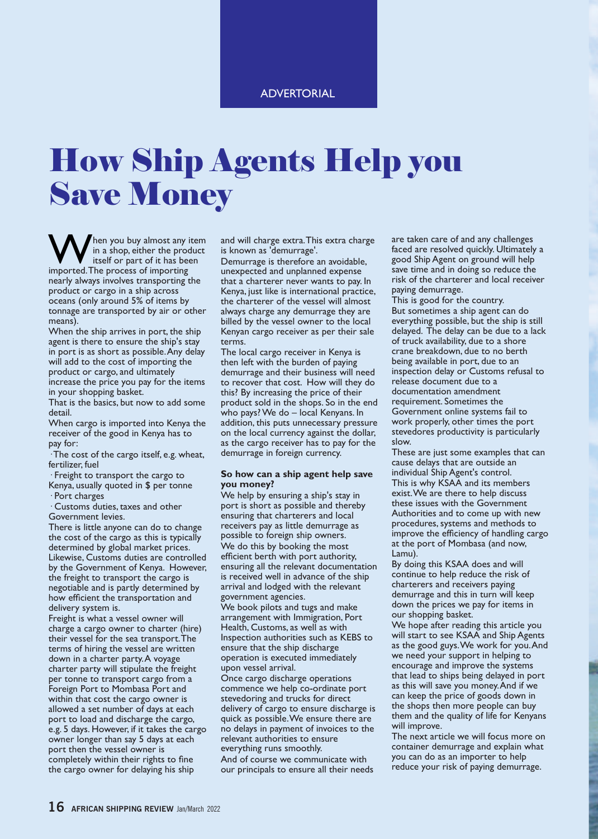## ADVERTORIAL

## How Ship Agents Help you Save Money

When you buy almost any item<br>
in a shop, either the product<br>
imported.The process of importing in a shop, either the product itself or part of it has been nearly always involves transporting the product or cargo in a ship across oceans (only around 5% of items by tonnage are transported by air or other means).

When the ship arrives in port, the ship agent is there to ensure the ship's stay in port is as short as possible.Any delay will add to the cost of importing the product or cargo, and ultimately increase the price you pay for the items in your shopping basket.

That is the basics, but now to add some detail.

When cargo is imported into Kenya the receiver of the good in Kenya has to pay for:

· The cost of the cargo itself, e.g. wheat, fertilizer, fuel

- · Freight to transport the cargo to Kenya, usually quoted in \$ per tonne
- · Port charges

· Customs duties, taxes and other Government levies.

There is little anyone can do to change the cost of the cargo as this is typically determined by global market prices. Likewise, Customs duties are controlled by the Government of Kenya. However, the freight to transport the cargo is negotiable and is partly determined by how efficient the transportation and delivery system is.

Freight is what a vessel owner will charge a cargo owner to charter (hire) their vessel for the sea transport.The terms of hiring the vessel are written down in a charter party.A voyage charter party will stipulate the freight per tonne to transport cargo from a Foreign Port to Mombasa Port and within that cost the cargo owner is allowed a set number of days at each port to load and discharge the cargo, e.g. 5 days. However, if it takes the cargo owner longer than say 5 days at each port then the vessel owner is completely within their rights to fine the cargo owner for delaying his ship

and will charge extra.This extra charge is known as 'demurrage'.

Demurrage is therefore an avoidable, unexpected and unplanned expense that a charterer never wants to pay. In Kenya, just like is international practice, the charterer of the vessel will almost always charge any demurrage they are billed by the vessel owner to the local Kenyan cargo receiver as per their sale terms.

The local cargo receiver in Kenya is then left with the burden of paying demurrage and their business will need to recover that cost. How will they do this? By increasing the price of their product sold in the shops. So in the end who pays? We do – local Kenyans. In addition, this puts unnecessary pressure on the local currency against the dollar, as the cargo receiver has to pay for the demurrage in foreign currency.

## **So how can a ship agent help save you money?**

We help by ensuring a ship's stay in port is short as possible and thereby ensuring that charterers and local receivers pay as little demurrage as possible to foreign ship owners. We do this by booking the most efficient berth with port authority, ensuring all the relevant documentation is received well in advance of the ship arrival and lodged with the relevant government agencies.

We book pilots and tugs and make arrangement with Immigration, Port Health, Customs, as well as with Inspection authorities such as KEBS to ensure that the ship discharge operation is executed immediately upon vessel arrival.

Once cargo discharge operations commence we help co-ordinate port stevedoring and trucks for direct delivery of cargo to ensure discharge is quick as possible.We ensure there are no delays in payment of invoices to the relevant authorities to ensure everything runs smoothly. And of course we communicate with

our principals to ensure all their needs

are taken care of and any challenges faced are resolved quickly. Ultimately a good Ship Agent on ground will help save time and in doing so reduce the risk of the charterer and local receiver paying demurrage.

This is good for the country. But sometimes a ship agent can do everything possible, but the ship is still delayed. The delay can be due to a lack of truck availability, due to a shore crane breakdown, due to no berth being available in port, due to an inspection delay or Customs refusal to release document due to a documentation amendment requirement. Sometimes the Government online systems fail to work properly, other times the port stevedores productivity is particularly slow.

These are just some examples that can cause delays that are outside an individual Ship Agent's control. This is why KSAA and its members exist.We are there to help discuss these issues with the Government Authorities and to come up with new procedures, systems and methods to improve the efficiency of handling cargo at the port of Mombasa (and now, Lamu).

By doing this KSAA does and will continue to help reduce the risk of charterers and receivers paying demurrage and this in turn will keep down the prices we pay for items in our shopping basket.

We hope after reading this article you will start to see KSAA and Ship Agents as the good guys.We work for you.And we need your support in helping to encourage and improve the systems that lead to ships being delayed in port as this will save you money.And if we can keep the price of goods down in the shops then more people can buy them and the quality of life for Kenyans will improve.

The next article we will focus more on container demurrage and explain what you can do as an importer to help reduce your risk of paying demurrage.